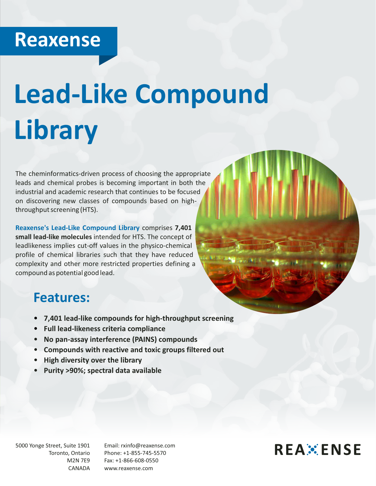## **Reaxense**

# **Lead-Like Compound Library**

The cheminformatics-driven process of choosing the appropriate leads and chemical probes is becoming important in both the industrial and academic research that continues to be focused on discovering new classes of compounds based on highthroughput screening (HTS).

**Reaxense's Lead-Like Compound Library** comprises **7,401 small lead-like molecules** intended for HTS. The concept of leadlikeness implies cut-off values in the physico-chemical profile of chemical libraries such that they have reduced complexity and other more restricted properties defining a compound as potential good lead.

#### **Features:**

- џ **7,401 lead-like compounds for high-throughput screening**
- џ **Full lead-likeness criteria compliance**
- џ **No pan-assay interference (PAINS) compounds**
- џ **Compounds with reactive and toxic groups filtered out**
- џ **High diversity over the library**
- џ **Purity >90%; spectral data available**

5000 Yonge Street, Suite 1901 Toronto, Ontario M2N 7E9 CANADA

Email: rxinfo@reaxense.com Phone: +1-855-745-5570 Fax: +1-866-608-0550 www.reaxense.com

### **REAXENSE**